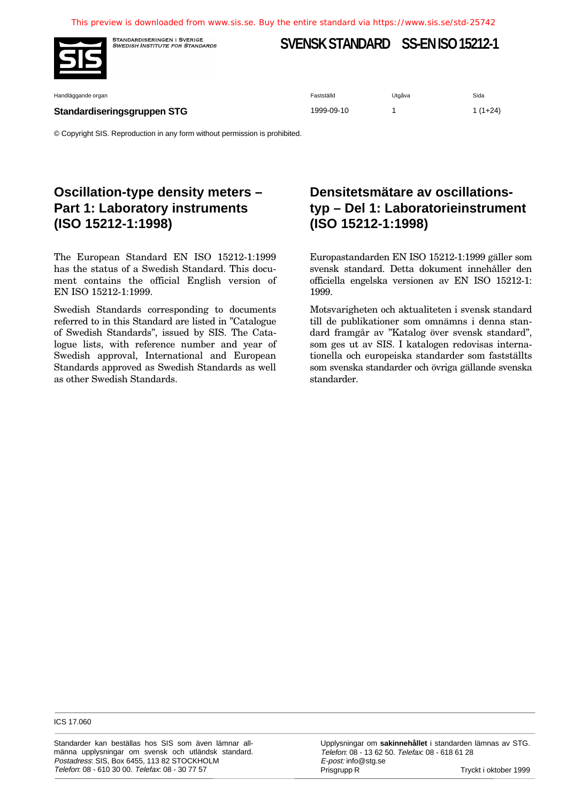

**STANDARDISERINGEN I SVERIGE<br>SWEDISH INSTITUTE FOR STANDARDS** 

# **SVENSK STANDARD SS-EN ISO 15212-1**

Handläggande organ Fastställd Utgåva Sida

## **Standardiseringsgruppen STG** 1999-09-10 1 1 (1+24)

© Copyright SIS. Reproduction in any form without permission is prohibited.

# **Oscillation-type density meters – Part 1: Laboratory instruments (ISO 15212-1:1998)**

The European Standard EN ISO 15212-1:1999 has the status of a Swedish Standard. This document contains the official English version of EN ISO 15212-1:1999.

Swedish Standards corresponding to documents referred to in this Standard are listed in "Catalogue of Swedish Standards", issued by SIS. The Catalogue lists, with reference number and year of Swedish approval, International and European Standards approved as Swedish Standards as well as other Swedish Standards.

# **Densitetsmätare av oscillationstyp – Del 1: Laboratorieinstrument (ISO 15212-1:1998)**

Europastandarden EN ISO 15212-1:1999 gäller som svensk standard. Detta dokument innehåller den officiella engelska versionen av EN ISO 15212-1: 1999.

Motsvarigheten och aktualiteten i svensk standard till de publikationer som omnämns i denna standard framgår av "Katalog över svensk standard", som ges ut av SIS. I katalogen redovisas internationella och europeiska standarder som fastställts som svenska standarder och övriga gällande svenska standarder.

ICS 17.060

Standarder kan beställas hos SIS som även lämnar allmänna upplysningar om svensk och utländsk standard. Postadress: SIS, Box 6455, 113 82 STOCKHOLM Telefon: 08 - 610 30 00. Telefax: 08 - 30 77 57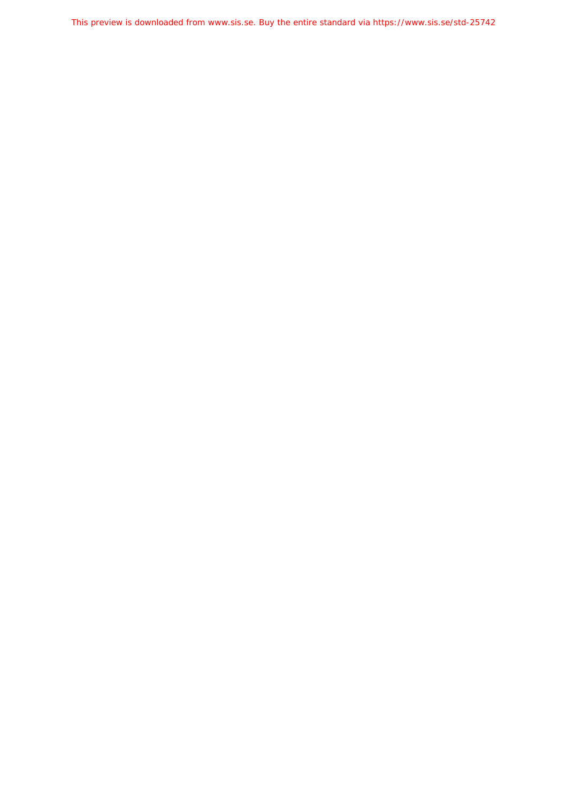This preview is downloaded from www.sis.se. Buy the entire standard via https://www.sis.se/std-25742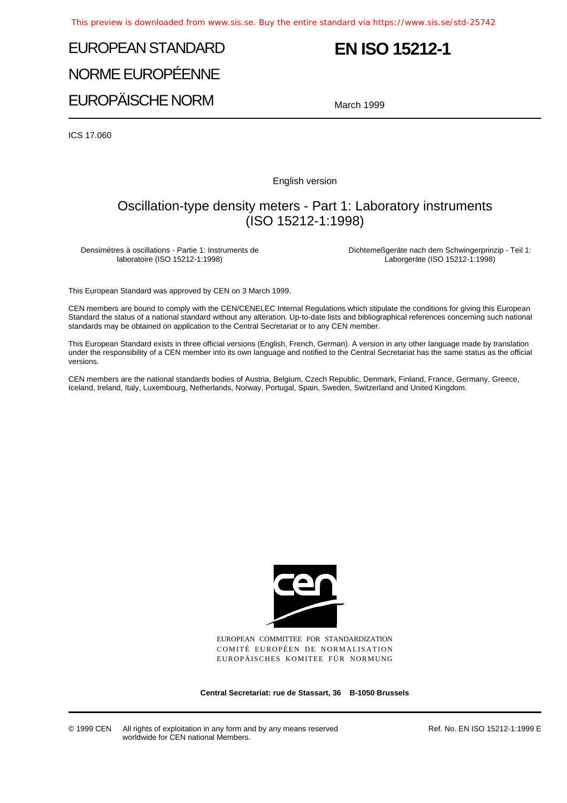# EUROPEAN STANDARD NORME EUROPÉENNE EUROPÄISCHE NORM

# **EN ISO 15212-1**

March 1999

ICS 17.060

English version

# Oscillation-type density meters - Part 1: Laboratory instruments (ISO 15212-1:1998)

Densimètres à oscillations - Partie 1: Instruments de laboratoire (ISO 15212-1:1998)

Dichtemeßgeräte nach dem Schwingerprinzip - Teil 1: Laborgeräte (ISO 15212-1:1998)

This European Standard was approved by CEN on 3 March 1999.

CEN members are bound to comply with the CEN/CENELEC Internal Regulations which stipulate the conditions for giving this European Standard the status of a national standard without any alteration. Up-to-date lists and bibliographical references concerning such national standards may be obtained on application to the Central Secretariat or to any CEN member.

This European Standard exists in three official versions (English, French, German). A version in any other language made by translation under the responsibility of a CEN member into its own language and notified to the Central Secretariat has the same status as the official versions.

CEN members are the national standards bodies of Austria, Belgium, Czech Republic, Denmark, Finland, France, Germany, Greece, Iceland, Ireland, Italy, Luxembourg, Netherlands, Norway, Portugal, Spain, Sweden, Switzerland and United Kingdom.



EUROPEAN COMMITTEE FOR STANDARDIZATION COMITÉ EUROPÉEN DE NORMALISATION EUROPÄISCHES KOMITEE FÜR NORMUNG

**Central Secretariat: rue de Stassart, 36 B-1050 Brussels**

© 1999 CEN All rights of exploitation in any form and by any means reserved worldwide for CEN national Members.

Ref. No. EN ISO 15212-1:1999 E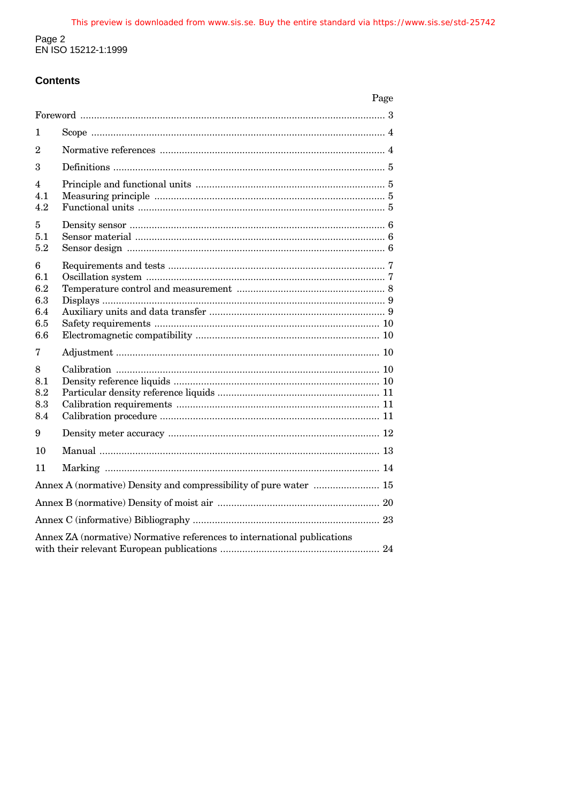Page 2 EN ISO 15212-1:1999

## **Contents**

|                                                                         | Page |  |
|-------------------------------------------------------------------------|------|--|
|                                                                         |      |  |
| 1                                                                       |      |  |
| $\overline{2}$                                                          |      |  |
| 3                                                                       |      |  |
| 4<br>4.1<br>4.2                                                         |      |  |
| 5<br>5.1<br>5.2                                                         |      |  |
| 6<br>6.1<br>6.2<br>6.3<br>6.4<br>6.5<br>6.6                             |      |  |
| 7                                                                       |      |  |
| 8<br>8.1<br>8.2<br>8.3<br>8.4                                           |      |  |
| 9                                                                       |      |  |
| 10                                                                      |      |  |
| 11                                                                      |      |  |
| Annex A (normative) Density and compressibility of pure water  15       |      |  |
|                                                                         |      |  |
|                                                                         |      |  |
| Annex ZA (normative) Normative references to international publications |      |  |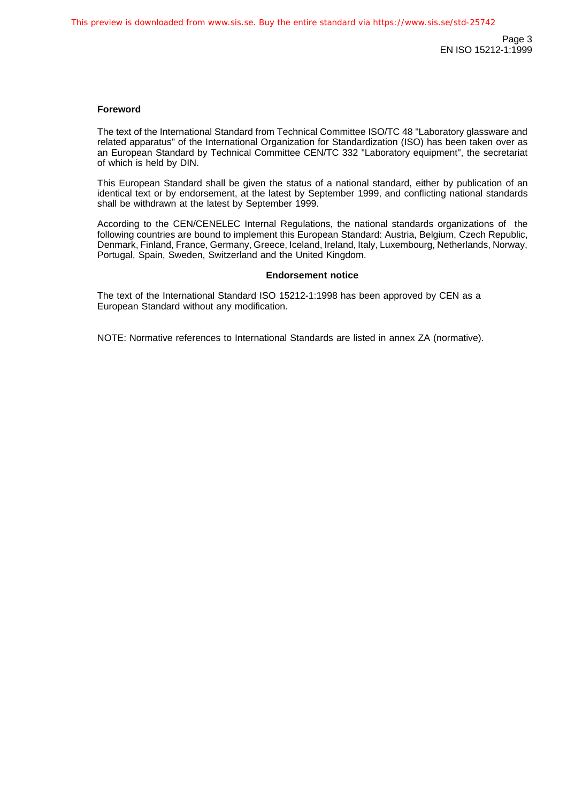### **Foreword**

The text of the International Standard from Technical Committee ISO/TC 48 "Laboratory glassware and related apparatus" of the International Organization for Standardization (ISO) has been taken over as an European Standard by Technical Committee CEN/TC 332 "Laboratory equipment", the secretariat of which is held by DIN.

This European Standard shall be given the status of a national standard, either by publication of an identical text or by endorsement, at the latest by September 1999, and conflicting national standards shall be withdrawn at the latest by September 1999.

According to the CEN/CENELEC Internal Regulations, the national standards organizations of the following countries are bound to implement this European Standard: Austria, Belgium, Czech Republic, Denmark, Finland, France, Germany, Greece, Iceland, Ireland, Italy, Luxembourg, Netherlands, Norway, Portugal, Spain, Sweden, Switzerland and the United Kingdom.

#### **Endorsement notice**

The text of the International Standard ISO 15212-1:1998 has been approved by CEN as a European Standard without any modification.

NOTE: Normative references to International Standards are listed in annex ZA (normative).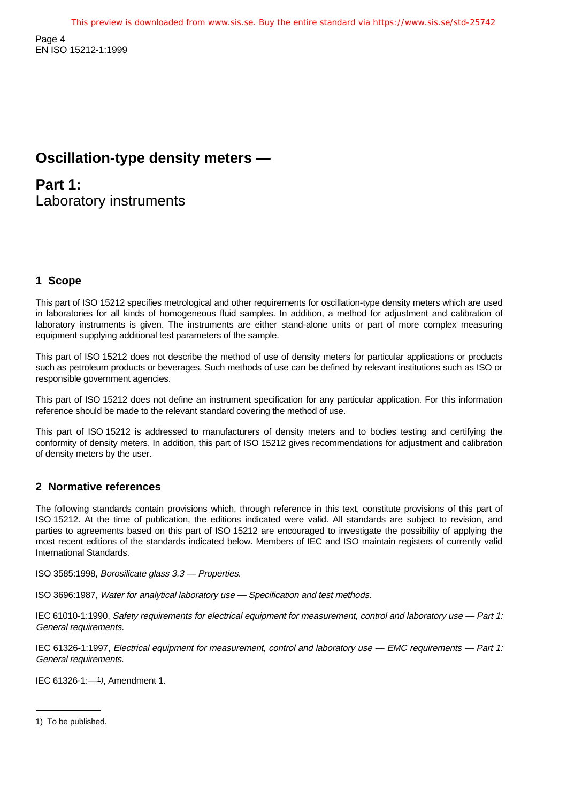Page 4 EN ISO 15212-1:1999

# **Oscillation-type density meters —**

**Part 1:** Laboratory instruments

## **1 Scope**

This part of ISO 15212 specifies metrological and other requirements for oscillation-type density meters which are used in laboratories for all kinds of homogeneous fluid samples. In addition, a method for adjustment and calibration of laboratory instruments is given. The instruments are either stand-alone units or part of more complex measuring equipment supplying additional test parameters of the sample.

This part of ISO 15212 does not describe the method of use of density meters for particular applications or products such as petroleum products or beverages. Such methods of use can be defined by relevant institutions such as ISO or responsible government agencies.

This part of ISO 15212 does not define an instrument specification for any particular application. For this information reference should be made to the relevant standard covering the method of use.

This part of ISO 15212 is addressed to manufacturers of density meters and to bodies testing and certifying the conformity of density meters. In addition, this part of ISO 15212 gives recommendations for adjustment and calibration of density meters by the user.

## **2 Normative references**

The following standards contain provisions which, through reference in this text, constitute provisions of this part of ISO 15212. At the time of publication, the editions indicated were valid. All standards are subject to revision, and parties to agreements based on this part of ISO 15212 are encouraged to investigate the possibility of applying the most recent editions of the standards indicated below. Members of IEC and ISO maintain registers of currently valid International Standards.

ISO 3585:1998, Borosilicate glass 3.3 — Properties.

ISO 3696:1987, Water for analytical laboratory use — Specification and test methods.

IEC 61010-1:1990, Safety requirements for electrical equipment for measurement, control and laboratory use — Part 1: General requirements.

IEC 61326-1:1997, Electrical equipment for measurement, control and laboratory use — EMC requirements — Part 1: General requirements.

IEC 61326-1:—1), Amendment 1.

<sup>1)</sup> To be published.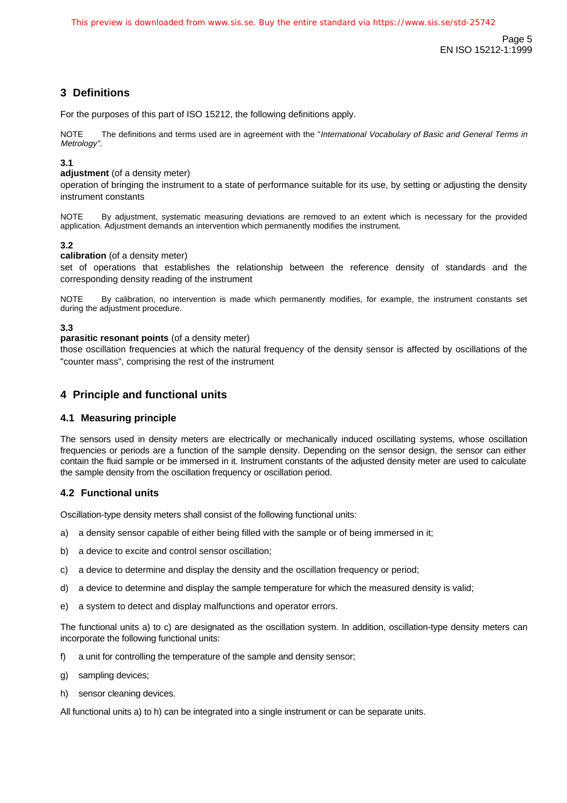Page 5 EN ISO 15212-1:1999

## **3 Definitions**

For the purposes of this part of ISO 15212, the following definitions apply.

NOTE The definitions and terms used are in agreement with the "International Vocabulary of Basic and General Terms in Metrology".

**3.1**

## **adjustment** (of a density meter)

operation of bringing the instrument to a state of performance suitable for its use, by setting or adjusting the density instrument constants

NOTE By adjustment, systematic measuring deviations are removed to an extent which is necessary for the provided application. Adjustment demands an intervention which permanently modifies the instrument.

## **3.2**

### **calibration** (of a density meter)

set of operations that establishes the relationship between the reference density of standards and the corresponding density reading of the instrument

NOTE By calibration, no intervention is made which permanently modifies, for example, the instrument constants set during the adjustment procedure.

## **3.3**

### **parasitic resonant points** (of a density meter)

those oscillation frequencies at which the natural frequency of the density sensor is affected by oscillations of the "counter mass", comprising the rest of the instrument

## **4 Principle and functional units**

## **4.1 Measuring principle**

The sensors used in density meters are electrically or mechanically induced oscillating systems, whose oscillation frequencies or periods are a function of the sample density. Depending on the sensor design, the sensor can either contain the fluid sample or be immersed in it. Instrument constants of the adjusted density meter are used to calculate the sample density from the oscillation frequency or oscillation period.

## **4.2 Functional units**

Oscillation-type density meters shall consist of the following functional units:

- a) a density sensor capable of either being filled with the sample or of being immersed in it;
- b) a device to excite and control sensor oscillation;
- c) a device to determine and display the density and the oscillation frequency or period;
- d) a device to determine and display the sample temperature for which the measured density is valid;
- e) a system to detect and display malfunctions and operator errors.

The functional units a) to c) are designated as the oscillation system. In addition, oscillation-type density meters can incorporate the following functional units:

- f) a unit for controlling the temperature of the sample and density sensor;
- g) sampling devices;
- h) sensor cleaning devices.

All functional units a) to h) can be integrated into a single instrument or can be separate units.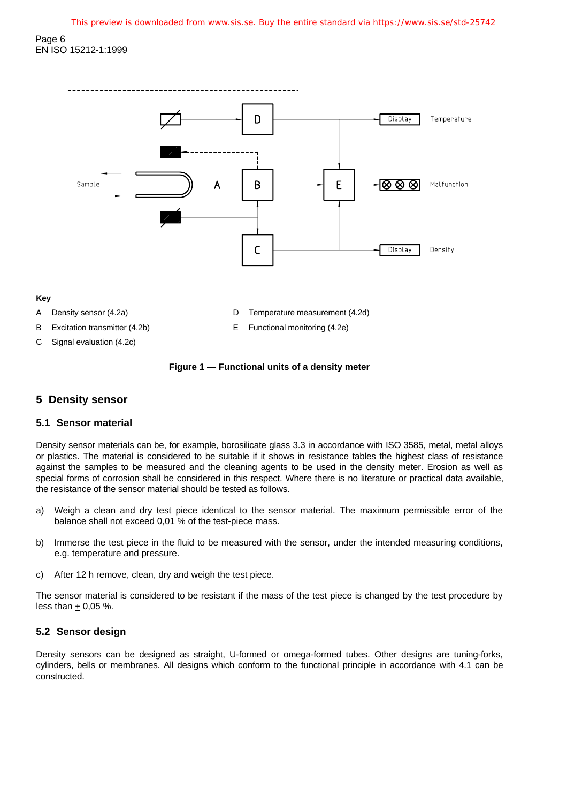

### **Figure 1 — Functional units of a density meter**

## **5 Density sensor**

## **5.1 Sensor material**

Density sensor materials can be, for example, borosilicate glass 3.3 in accordance with ISO 3585, metal, metal alloys or plastics. The material is considered to be suitable if it shows in resistance tables the highest class of resistance against the samples to be measured and the cleaning agents to be used in the density meter. Erosion as well as special forms of corrosion shall be considered in this respect. Where there is no literature or practical data available, the resistance of the sensor material should be tested as follows.

- a) Weigh a clean and dry test piece identical to the sensor material. The maximum permissible error of the balance shall not exceed 0,01 % of the test-piece mass.
- b) Immerse the test piece in the fluid to be measured with the sensor, under the intended measuring conditions, e.g. temperature and pressure.
- c) After 12 h remove, clean, dry and weigh the test piece.

The sensor material is considered to be resistant if the mass of the test piece is changed by the test procedure by less than  $\pm$  0,05 %.

## **5.2 Sensor design**

Density sensors can be designed as straight, U-formed or omega-formed tubes. Other designs are tuning-forks, cylinders, bells or membranes. All designs which conform to the functional principle in accordance with 4.1 can be constructed.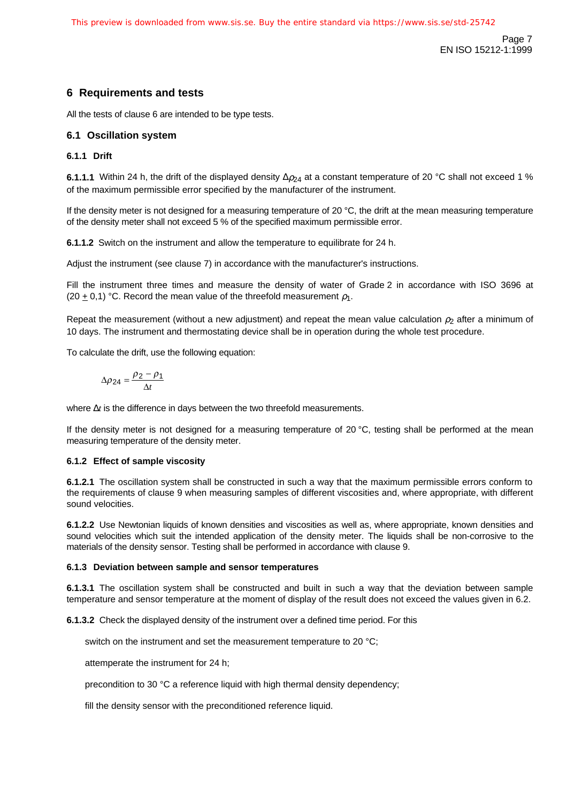Page 7 EN ISO 15212-1:1999

## **6 Requirements and tests**

All the tests of clause 6 are intended to be type tests.

## **6.1 Oscillation system**

### **6.1.1 Drift**

**6.1.1.1** Within 24 h, the drift of the displayed density  $\Delta p_{24}$  at a constant temperature of 20 °C shall not exceed 1 % of the maximum permissible error specified by the manufacturer of the instrument.

If the density meter is not designed for a measuring temperature of 20 °C, the drift at the mean measuring temperature of the density meter shall not exceed 5 % of the specified maximum permissible error.

**6.1.1.2** Switch on the instrument and allow the temperature to equilibrate for 24 h.

Adjust the instrument (see clause 7) in accordance with the manufacturer's instructions.

Fill the instrument three times and measure the density of water of Grade 2 in accordance with ISO 3696 at (20  $\pm$  0,1) °C. Record the mean value of the threefold measurement  $\rho_1$ .

Repeat the measurement (without a new adjustment) and repeat the mean value calculation  $\rho_2$  after a minimum of 10 days. The instrument and thermostating device shall be in operation during the whole test procedure.

To calculate the drift, use the following equation:

$$
\Delta \rho_{24} = \frac{\rho_2 - \rho_1}{\Delta t}
$$

where ∆*t* is the difference in days between the two threefold measurements.

If the density meter is not designed for a measuring temperature of 20  $^{\circ}$ C, testing shall be performed at the mean measuring temperature of the density meter.

### **6.1.2 Effect of sample viscosity**

**6.1.2.1** The oscillation system shall be constructed in such a way that the maximum permissible errors conform to the requirements of clause 9 when measuring samples of different viscosities and, where appropriate, with different sound velocities.

**6.1.2.2** Use Newtonian liquids of known densities and viscosities as well as, where appropriate, known densities and sound velocities which suit the intended application of the density meter. The liquids shall be non-corrosive to the materials of the density sensor. Testing shall be performed in accordance with clause 9.

#### **6.1.3 Deviation between sample and sensor temperatures**

**6.1.3.1** The oscillation system shall be constructed and built in such a way that the deviation between sample temperature and sensor temperature at the moment of display of the result does not exceed the values given in 6.2.

**6.1.3.2** Check the displayed density of the instrument over a defined time period. For this

- switch on the instrument and set the measurement temperature to 20  $^{\circ}$ C;
- attemperate the instrument for 24 h;
- precondition to 30 °C a reference liquid with high thermal density dependency;
- fill the density sensor with the preconditioned reference liquid.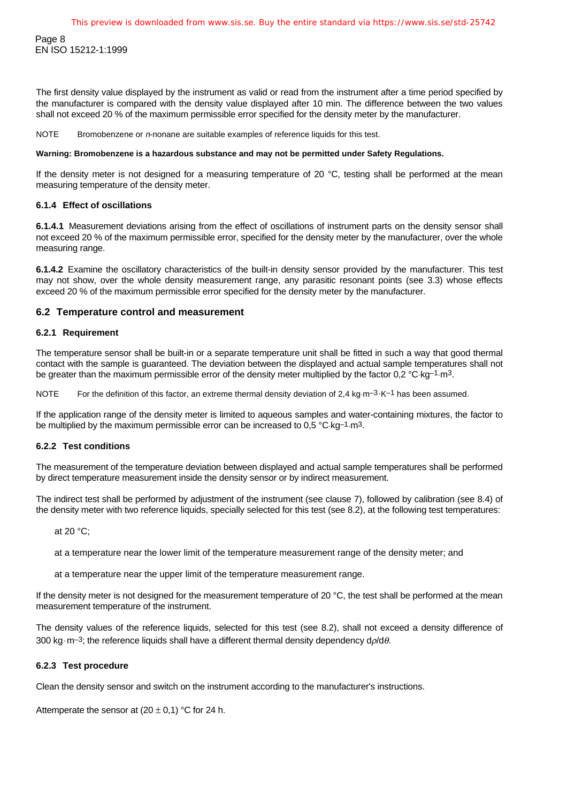Page 8 EN ISO 15212-1:1999

The first density value displayed by the instrument as valid or read from the instrument after a time period specified by the manufacturer is compared with the density value displayed after 10 min. The difference between the two values shall not exceed 20 % of the maximum permissible error specified for the density meter by the manufacturer.

NOTE Bromobenzene or n-nonane are suitable examples of reference liquids for this test.

#### **Warning: Bromobenzene is a hazardous substance and may not be permitted under Safety Regulations.**

If the density meter is not designed for a measuring temperature of 20  $^{\circ}$ C, testing shall be performed at the mean measuring temperature of the density meter.

#### **6.1.4 Effect of oscillations**

**6.1.4.1** Measurement deviations arising from the effect of oscillations of instrument parts on the density sensor shall not exceed 20 % of the maximum permissible error, specified for the density meter by the manufacturer, over the whole measuring range.

**6.1.4.2** Examine the oscillatory characteristics of the built-in density sensor provided by the manufacturer. This test may not show, over the whole density measurement range, any parasitic resonant points (see 3.3) whose effects exceed 20 % of the maximum permissible error specified for the density meter by the manufacturer.

### **6.2 Temperature control and measurement**

#### **6.2.1 Requirement**

The temperature sensor shall be built-in or a separate temperature unit shall be fitted in such a way that good thermal contact with the sample is guaranteed. The deviation between the displayed and actual sample temperatures shall not be greater than the maximum permissible error of the density meter multiplied by the factor 0,2 °C⋅kg-1⋅m<sup>3</sup>.

NOTE For the definition of this factor, an extreme thermal density deviation of 2.4 kg·m<sup>-3</sup>·K<sup>-1</sup> has been assumed.

If the application range of the density meter is limited to aqueous samples and water-containing mixtures, the factor to be multiplied by the maximum permissible error can be increased to 0,5  $^{\circ}$ C⋅kg-1⋅m<sup>3</sup>.

#### **6.2.2 Test conditions**

The measurement of the temperature deviation between displayed and actual sample temperatures shall be performed by direct temperature measurement inside the density sensor or by indirect measurement.

The indirect test shall be performed by adjustment of the instrument (see clause 7), followed by calibration (see 8.4) of the density meter with two reference liquids, specially selected for this test (see 8.2), at the following test temperatures:

at 20 °C;

at a temperature near the lower limit of the temperature measurement range of the density meter; and

at a temperature near the upper limit of the temperature measurement range.

If the density meter is not designed for the measurement temperature of 20 °C, the test shall be performed at the mean measurement temperature of the instrument.

The density values of the reference liquids, selected for this test (see 8.2), shall not exceed a density difference of 300 kg $\cdot$ m<sup>-3</sup>; the reference liquids shall have a different thermal density dependency d $\rho$ /d $\theta$ .

### **6.2.3 Test procedure**

Clean the density sensor and switch on the instrument according to the manufacturer's instructions.

Attemperate the sensor at  $(20 \pm 0.1)$  °C for 24 h.